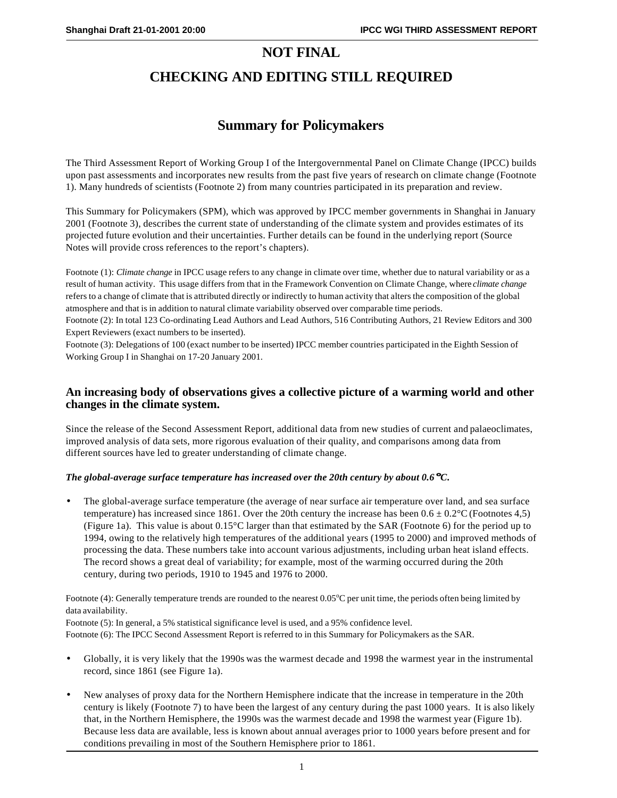# **NOT FINAL**

# **CHECKING AND EDITING STILL REQUIRED**

# **Summary for Policymakers**

The Third Assessment Report of Working Group I of the Intergovernmental Panel on Climate Change (IPCC) builds upon past assessments and incorporates new results from the past five years of research on climate change (Footnote 1). Many hundreds of scientists (Footnote 2) from many countries participated in its preparation and review.

This Summary for Policymakers (SPM), which was approved by IPCC member governments in Shanghai in January 2001 (Footnote 3), describes the current state of understanding of the climate system and provides estimates of its projected future evolution and their uncertainties. Further details can be found in the underlying report (Source Notes will provide cross references to the report's chapters).

Footnote (1): *Climate change* in IPCC usage refers to any change in climate over time, whether due to natural variability or as a result of human activity. This usage differs from that in the Framework Convention on Climate Change, where *climate change* refers to a change of climate that is attributed directly or indirectly to human activity that alters the composition of the global atmosphere and that is in addition to natural climate variability observed over comparable time periods.

Footnote (2): In total 123 Co-ordinating Lead Authors and Lead Authors, 516 Contributing Authors, 21 Review Editors and 300 Expert Reviewers (exact numbers to be inserted).

Footnote (3): Delegations of 100 (exact number to be inserted) IPCC member countries participated in the Eighth Session of Working Group I in Shanghai on 17-20 January 2001.

# **An increasing body of observations gives a collective picture of a warming world and other changes in the climate system.**

Since the release of the Second Assessment Report, additional data from new studies of current and palaeoclimates, improved analysis of data sets, more rigorous evaluation of their quality, and comparisons among data from different sources have led to greater understanding of climate change.

# *The global-average surface temperature has increased over the 20th century by about 0.6 °C.*

• The global-average surface temperature (the average of near surface air temperature over land, and sea surface temperature) has increased since 1861. Over the 20th century the increase has been  $0.6 \pm 0.2$ °C (Footnotes 4,5) (Figure 1a). This value is about 0.15°C larger than that estimated by the SAR (Footnote 6) for the period up to 1994, owing to the relatively high temperatures of the additional years (1995 to 2000) and improved methods of processing the data. These numbers take into account various adjustments, including urban heat island effects. The record shows a great deal of variability; for example, most of the warming occurred during the 20th century, during two periods, 1910 to 1945 and 1976 to 2000.

Footnote (4): Generally temperature trends are rounded to the nearest 0.05°C per unit time, the periods often being limited by data availability.

Footnote (5): In general, a 5% statistical significance level is used, and a 95% confidence level. Footnote (6): The IPCC Second Assessment Report is referred to in this Summary for Policymakers as the SAR.

- Globally, it is very likely that the 1990s was the warmest decade and 1998 the warmest year in the instrumental record, since 1861 (see Figure 1a).
- New analyses of proxy data for the Northern Hemisphere indicate that the increase in temperature in the 20th century is likely (Footnote 7) to have been the largest of any century during the past 1000 years. It is also likely that, in the Northern Hemisphere, the 1990s was the warmest decade and 1998 the warmest year (Figure 1b). Because less data are available, less is known about annual averages prior to 1000 years before present and for conditions prevailing in most of the Southern Hemisphere prior to 1861.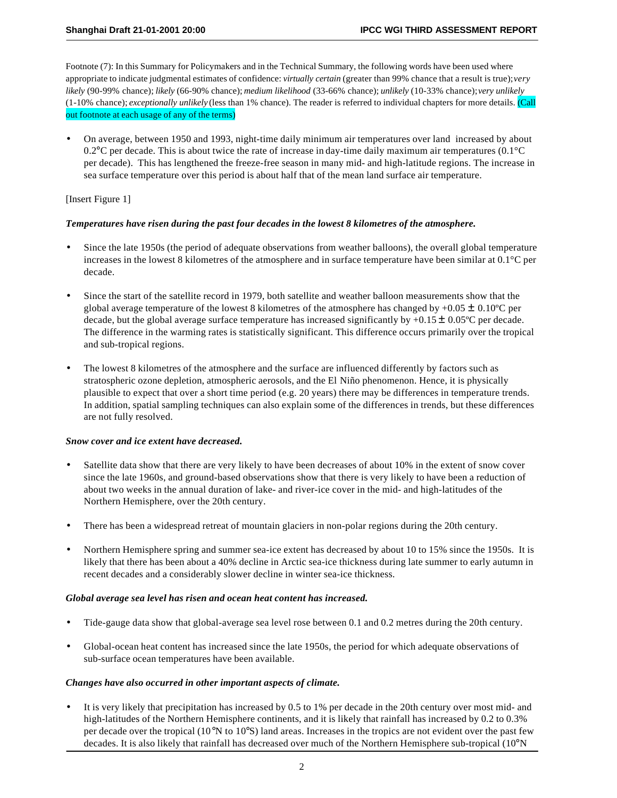Footnote (7): In this Summary for Policymakers and in the Technical Summary, the following words have been used where appropriate to indicate judgmental estimates of confidence: *virtually certain* (greater than 99% chance that a result is true); *very likely* (90-99% chance); *likely* (66-90% chance); *medium likelihood* (33-66% chance); *unlikely* (10-33% chance); *very unlikely* (1-10% chance); *exceptionally unlikely* (less than 1% chance). The reader is referred to individual chapters for more details. (Call out footnote at each usage of any of the terms)

• On average, between 1950 and 1993, night-time daily minimum air temperatures over land increased by about  $0.2^{\circ}$ C per decade. This is about twice the rate of increase in day-time daily maximum air temperatures ( $0.1^{\circ}$ C per decade). This has lengthened the freeze-free season in many mid- and high-latitude regions. The increase in sea surface temperature over this period is about half that of the mean land surface air temperature.

### [Insert Figure 1]

### *Temperatures have risen during the past four decades in the lowest 8 kilometres of the atmosphere.*

- Since the late 1950s (the period of adequate observations from weather balloons), the overall global temperature increases in the lowest 8 kilometres of the atmosphere and in surface temperature have been similar at 0.1°C per decade.
- Since the start of the satellite record in 1979, both satellite and weather balloon measurements show that the global average temperature of the lowest 8 kilometres of the atmosphere has changed by +0.05  $\pm$  0.10<sup>o</sup>C per decade, but the global average surface temperature has increased significantly by  $+0.15 \pm 0.05$ °C per decade. The difference in the warming rates is statistically significant. This difference occurs primarily over the tropical and sub-tropical regions.
- The lowest 8 kilometres of the atmosphere and the surface are influenced differently by factors such as stratospheric ozone depletion, atmospheric aerosols, and the El Niño phenomenon. Hence, it is physically plausible to expect that over a short time period (e.g. 20 years) there may be differences in temperature trends. In addition, spatial sampling techniques can also explain some of the differences in trends, but these differences are not fully resolved.

# *Snow cover and ice extent have decreased.*

- Satellite data show that there are very likely to have been decreases of about 10% in the extent of snow cover since the late 1960s, and ground-based observations show that there is very likely to have been a reduction of about two weeks in the annual duration of lake- and river-ice cover in the mid- and high-latitudes of the Northern Hemisphere, over the 20th century.
- There has been a widespread retreat of mountain glaciers in non-polar regions during the 20th century.
- Northern Hemisphere spring and summer sea-ice extent has decreased by about 10 to 15% since the 1950s. It is likely that there has been about a 40% decline in Arctic sea-ice thickness during late summer to early autumn in recent decades and a considerably slower decline in winter sea-ice thickness.

#### *Global average sea level has risen and ocean heat content has increased.*

- Tide-gauge data show that global-average sea level rose between 0.1 and 0.2 metres during the 20th century.
- Global-ocean heat content has increased since the late 1950s, the period for which adequate observations of sub-surface ocean temperatures have been available.

# *Changes have also occurred in other important aspects of climate.*

• It is very likely that precipitation has increased by 0.5 to 1% per decade in the 20th century over most mid- and high-latitudes of the Northern Hemisphere continents, and it is likely that rainfall has increased by 0.2 to 0.3% per decade over the tropical (10°N to 10°S) land areas. Increases in the tropics are not evident over the past few decades. It is also likely that rainfall has decreased over much of the Northern Hemisphere sub-tropical (10°N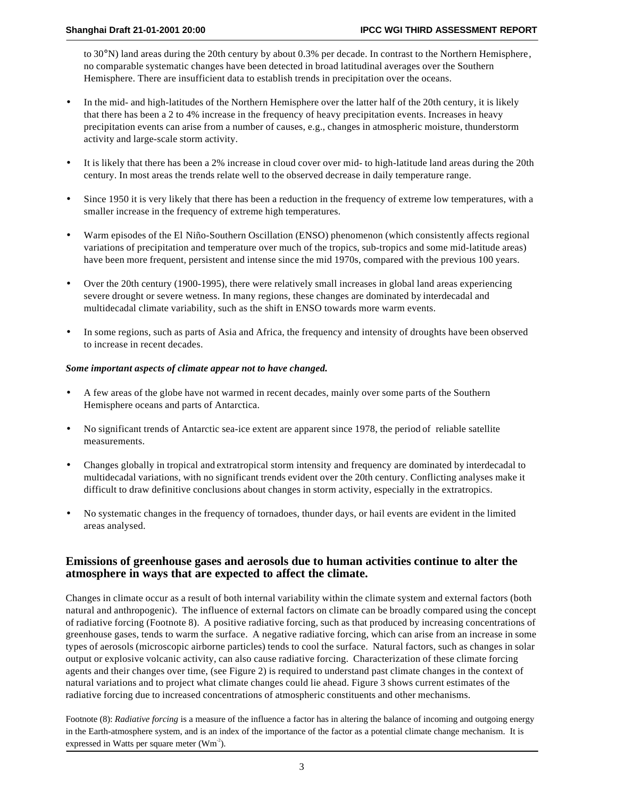to 30°N) land areas during the 20th century by about 0.3% per decade. In contrast to the Northern Hemisphere, no comparable systematic changes have been detected in broad latitudinal averages over the Southern Hemisphere. There are insufficient data to establish trends in precipitation over the oceans.

- In the mid- and high-latitudes of the Northern Hemisphere over the latter half of the 20th century, it is likely that there has been a 2 to 4% increase in the frequency of heavy precipitation events. Increases in heavy precipitation events can arise from a number of causes, e.g., changes in atmospheric moisture, thunderstorm activity and large-scale storm activity.
- It is likely that there has been a 2% increase in cloud cover over mid- to high-latitude land areas during the 20th century. In most areas the trends relate well to the observed decrease in daily temperature range.
- Since 1950 it is very likely that there has been a reduction in the frequency of extreme low temperatures, with a smaller increase in the frequency of extreme high temperatures.
- Warm episodes of the El Niño-Southern Oscillation (ENSO) phenomenon (which consistently affects regional variations of precipitation and temperature over much of the tropics, sub-tropics and some mid-latitude areas) have been more frequent, persistent and intense since the mid 1970s, compared with the previous 100 years.
- Over the 20th century (1900-1995), there were relatively small increases in global land areas experiencing severe drought or severe wetness. In many regions, these changes are dominated by interdecadal and multidecadal climate variability, such as the shift in ENSO towards more warm events.
- In some regions, such as parts of Asia and Africa, the frequency and intensity of droughts have been observed to increase in recent decades.

### *Some important aspects of climate appear not to have changed.*

- A few areas of the globe have not warmed in recent decades, mainly over some parts of the Southern Hemisphere oceans and parts of Antarctica.
- No significant trends of Antarctic sea-ice extent are apparent since 1978, the period of reliable satellite measurements.
- Changes globally in tropical and extratropical storm intensity and frequency are dominated by interdecadal to multidecadal variations, with no significant trends evident over the 20th century. Conflicting analyses make it difficult to draw definitive conclusions about changes in storm activity, especially in the extratropics.
- No systematic changes in the frequency of tornadoes, thunder days, or hail events are evident in the limited areas analysed.

# **Emissions of greenhouse gases and aerosols due to human activities continue to alter the atmosphere in ways that are expected to affect the climate.**

Changes in climate occur as a result of both internal variability within the climate system and external factors (both natural and anthropogenic). The influence of external factors on climate can be broadly compared using the concept of radiative forcing (Footnote 8). A positive radiative forcing, such as that produced by increasing concentrations of greenhouse gases, tends to warm the surface. A negative radiative forcing, which can arise from an increase in some types of aerosols (microscopic airborne particles) tends to cool the surface. Natural factors, such as changes in solar output or explosive volcanic activity, can also cause radiative forcing. Characterization of these climate forcing agents and their changes over time, (see Figure 2) is required to understand past climate changes in the context of natural variations and to project what climate changes could lie ahead. Figure 3 shows current estimates of the radiative forcing due to increased concentrations of atmospheric constituents and other mechanisms.

Footnote (8): *Radiative forcing* is a measure of the influence a factor has in altering the balance of incoming and outgoing energy in the Earth-atmosphere system, and is an index of the importance of the factor as a potential climate change mechanism. It is expressed in Watts per square meter  $(Wm<sup>2</sup>)$ .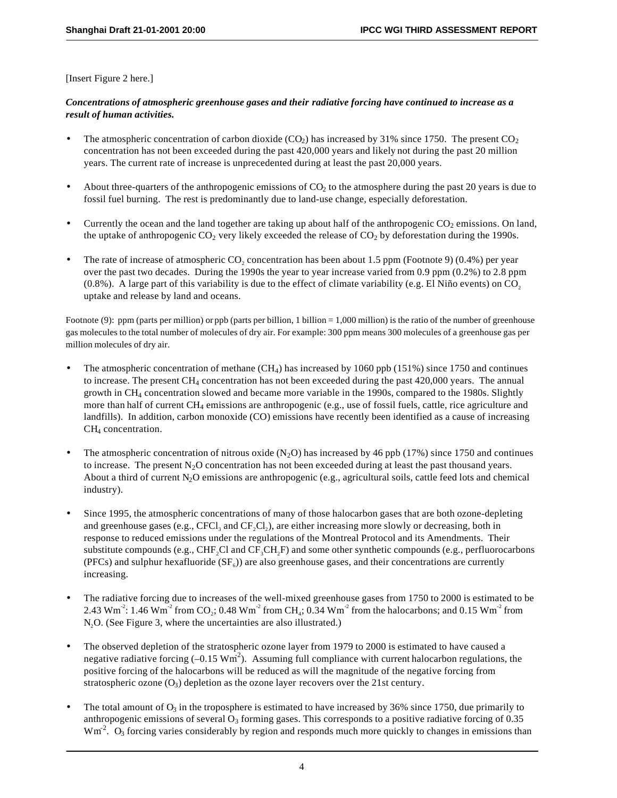[Insert Figure 2 here.]

# *Concentrations of atmospheric greenhouse gases and their radiative forcing have continued to increase as a result of human activities.*

- The atmospheric concentration of carbon dioxide  $(CO_2)$  has increased by 31% since 1750. The present  $CO_2$ concentration has not been exceeded during the past 420,000 years and likely not during the past 20 million years. The current rate of increase is unprecedented during at least the past 20,000 years.
- About three-quarters of the anthropogenic emissions of  $CO<sub>2</sub>$  to the atmosphere during the past 20 years is due to fossil fuel burning. The rest is predominantly due to land-use change, especially deforestation.
- Currently the ocean and the land together are taking up about half of the anthropogenic  $CO<sub>2</sub>$  emissions. On land, the uptake of anthropogenic  $CO_2$  very likely exceeded the release of  $CO_2$  by deforestation during the 1990s.
- The rate of increase of atmospheric  $CO_2$  concentration has been about 1.5 ppm (Footnote 9) (0.4%) per year over the past two decades. During the 1990s the year to year increase varied from 0.9 ppm (0.2%) to 2.8 ppm  $(0.8\%)$ . A large part of this variability is due to the effect of climate variability (e.g. El Niño events) on CO<sub>2</sub> uptake and release by land and oceans.

Footnote  $(9)$ : ppm (parts per million) or ppb (parts per billion, 1 billion = 1,000 million) is the ratio of the number of greenhouse gas molecules to the total number of molecules of dry air. For example: 300 ppm means 300 molecules of a greenhouse gas per million molecules of dry air.

- The atmospheric concentration of methane  $(CH_4)$  has increased by 1060 ppb (151%) since 1750 and continues to increase. The present  $CH_4$  concentration has not been exceeded during the past  $420,000$  years. The annual growth in CH4 concentration slowed and became more variable in the 1990s, compared to the 1980s. Slightly more than half of current CH<sub>4</sub> emissions are anthropogenic (e.g., use of fossil fuels, cattle, rice agriculture and landfills). In addition, carbon monoxide (CO) emissions have recently been identified as a cause of increasing CH4 concentration.
- The atmospheric concentration of nitrous oxide  $(N_2O)$  has increased by 46 ppb (17%) since 1750 and continues to increase. The present  $N_2O$  concentration has not been exceeded during at least the past thousand years. About a third of current  $N_2O$  emissions are anthropogenic (e.g., agricultural soils, cattle feed lots and chemical industry).
- Since 1995, the atmospheric concentrations of many of those halocarbon gases that are both ozone-depleting and greenhouse gases (e.g.,  $CFCl_3$  and  $CF_2Cl_2$ ), are either increasing more slowly or decreasing, both in response to reduced emissions under the regulations of the Montreal Protocol and its Amendments. Their substitute compounds (e.g., CHF<sub>2</sub>Cl and CF<sub>3</sub>CH<sub>2</sub>F) and some other synthetic compounds (e.g., perfluorocarbons (PFCs) and sulphur hexafluoride  $(SF_6)$ ) are also greenhouse gases, and their concentrations are currently increasing.
- The radiative forcing due to increases of the well-mixed greenhouse gases from 1750 to 2000 is estimated to be 2.43 Wm<sup>-2</sup>: 1.46 Wm<sup>-2</sup> from CO<sub>2</sub>; 0.48 Wm<sup>-2</sup> from CH<sub>4</sub>; 0.34 Wm<sup>-2</sup> from the halocarbons; and 0.15 Wm<sup>-2</sup> from N<sub>2</sub>O. (See Figure 3, where the uncertainties are also illustrated.)
- The observed depletion of the stratospheric ozone layer from 1979 to 2000 is estimated to have caused a negative radiative forcing  $(-0.15 \text{ Wm}^2)$ . Assuming full compliance with current halocarbon regulations, the positive forcing of the halocarbons will be reduced as will the magnitude of the negative forcing from stratospheric ozone  $(O_3)$  depletion as the ozone layer recovers over the 21st century.
- The total amount of  $O_3$  in the troposphere is estimated to have increased by 36% since 1750, due primarily to anthropogenic emissions of several  $O_3$  forming gases. This corresponds to a positive radiative forcing of 0.35  $Wm<sup>2</sup>$ . O<sub>3</sub> forcing varies considerably by region and responds much more quickly to changes in emissions than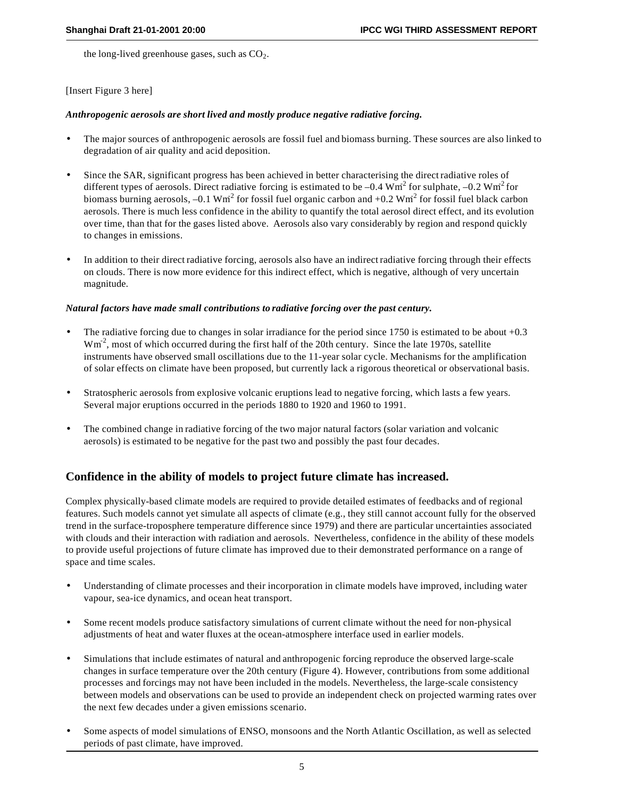the long-lived greenhouse gases, such as  $CO<sub>2</sub>$ .

#### [Insert Figure 3 here]

#### *Anthropogenic aerosols are short lived and mostly produce negative radiative forcing.*

- The major sources of anthropogenic aerosols are fossil fuel and biomass burning. These sources are also linked to degradation of air quality and acid deposition.
- Since the SAR, significant progress has been achieved in better characterising the direct radiative roles of different types of aerosols. Direct radiative forcing is estimated to be  $-0.4 \text{ Wm}^2$  for sulphate,  $-0.2 \text{ Wm}^2$  for biomass burning aerosols,  $-0.1$  Wm<sup>2</sup> for fossil fuel organic carbon and  $+0.2$  Wm<sup>2</sup> for fossil fuel black carbon aerosols. There is much less confidence in the ability to quantify the total aerosol direct effect, and its evolution over time, than that for the gases listed above. Aerosols also vary considerably by region and respond quickly to changes in emissions.
- In addition to their direct radiative forcing, aerosols also have an indirect radiative forcing through their effects on clouds. There is now more evidence for this indirect effect, which is negative, although of very uncertain magnitude.

### *Natural factors have made small contributions to radiative forcing over the past century.*

- The radiative forcing due to changes in solar irradiance for the period since 1750 is estimated to be about +0.3 Wm<sup>2</sup>, most of which occurred during the first half of the 20th century. Since the late 1970s, satellite instruments have observed small oscillations due to the 11-year solar cycle. Mechanisms for the amplification of solar effects on climate have been proposed, but currently lack a rigorous theoretical or observational basis.
- Stratospheric aerosols from explosive volcanic eruptions lead to negative forcing, which lasts a few years. Several major eruptions occurred in the periods 1880 to 1920 and 1960 to 1991.
- The combined change in radiative forcing of the two major natural factors (solar variation and volcanic aerosols) is estimated to be negative for the past two and possibly the past four decades.

# **Confidence in the ability of models to project future climate has increased.**

Complex physically-based climate models are required to provide detailed estimates of feedbacks and of regional features. Such models cannot yet simulate all aspects of climate (e.g., they still cannot account fully for the observed trend in the surface-troposphere temperature difference since 1979) and there are particular uncertainties associated with clouds and their interaction with radiation and aerosols. Nevertheless, confidence in the ability of these models to provide useful projections of future climate has improved due to their demonstrated performance on a range of space and time scales.

- Understanding of climate processes and their incorporation in climate models have improved, including water vapour, sea-ice dynamics, and ocean heat transport.
- Some recent models produce satisfactory simulations of current climate without the need for non-physical adjustments of heat and water fluxes at the ocean-atmosphere interface used in earlier models.
- Simulations that include estimates of natural and anthropogenic forcing reproduce the observed large-scale changes in surface temperature over the 20th century (Figure 4). However, contributions from some additional processes and forcings may not have been included in the models. Nevertheless, the large-scale consistency between models and observations can be used to provide an independent check on projected warming rates over the next few decades under a given emissions scenario.
- Some aspects of model simulations of ENSO, monsoons and the North Atlantic Oscillation, as well as selected periods of past climate, have improved.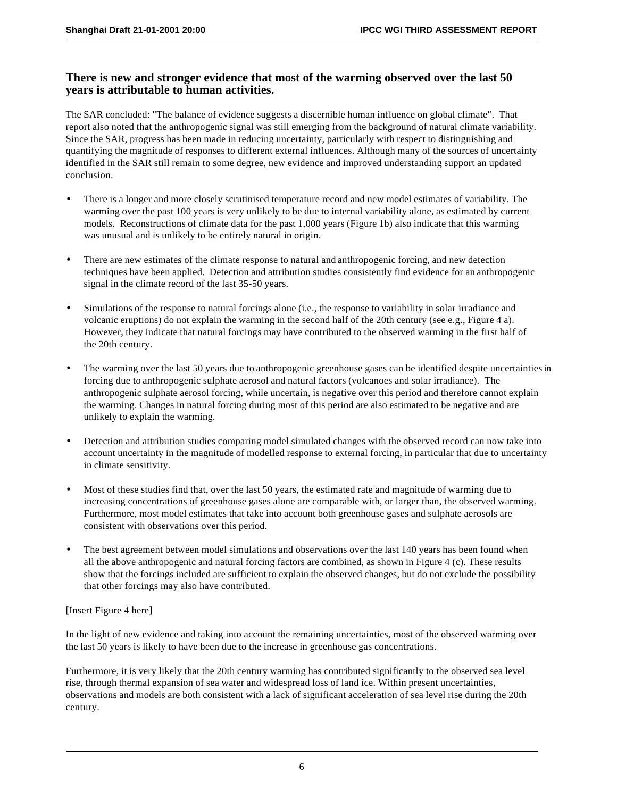# **There is new and stronger evidence that most of the warming observed over the last 50 years is attributable to human activities.**

The SAR concluded: "The balance of evidence suggests a discernible human influence on global climate". That report also noted that the anthropogenic signal was still emerging from the background of natural climate variability. Since the SAR, progress has been made in reducing uncertainty, particularly with respect to distinguishing and quantifying the magnitude of responses to different external influences. Although many of the sources of uncertainty identified in the SAR still remain to some degree, new evidence and improved understanding support an updated conclusion.

- There is a longer and more closely scrutinised temperature record and new model estimates of variability. The warming over the past 100 years is very unlikely to be due to internal variability alone, as estimated by current models. Reconstructions of climate data for the past 1,000 years (Figure 1b) also indicate that this warming was unusual and is unlikely to be entirely natural in origin.
- There are new estimates of the climate response to natural and anthropogenic forcing, and new detection techniques have been applied. Detection and attribution studies consistently find evidence for an anthropogenic signal in the climate record of the last 35-50 years.
- Simulations of the response to natural forcings alone (i.e., the response to variability in solar irradiance and volcanic eruptions) do not explain the warming in the second half of the 20th century (see e.g., Figure 4 a). However, they indicate that natural forcings may have contributed to the observed warming in the first half of the 20th century.
- The warming over the last 50 years due to anthropogenic greenhouse gases can be identified despite uncertainties in forcing due to anthropogenic sulphate aerosol and natural factors (volcanoes and solar irradiance). The anthropogenic sulphate aerosol forcing, while uncertain, is negative over this period and therefore cannot explain the warming. Changes in natural forcing during most of this period are also estimated to be negative and are unlikely to explain the warming.
- Detection and attribution studies comparing model simulated changes with the observed record can now take into account uncertainty in the magnitude of modelled response to external forcing, in particular that due to uncertainty in climate sensitivity.
- Most of these studies find that, over the last 50 years, the estimated rate and magnitude of warming due to increasing concentrations of greenhouse gases alone are comparable with, or larger than, the observed warming. Furthermore, most model estimates that take into account both greenhouse gases and sulphate aerosols are consistent with observations over this period.
- The best agreement between model simulations and observations over the last 140 years has been found when all the above anthropogenic and natural forcing factors are combined, as shown in Figure 4 (c). These results show that the forcings included are sufficient to explain the observed changes, but do not exclude the possibility that other forcings may also have contributed.

# [Insert Figure 4 here]

In the light of new evidence and taking into account the remaining uncertainties, most of the observed warming over the last 50 years is likely to have been due to the increase in greenhouse gas concentrations.

Furthermore, it is very likely that the 20th century warming has contributed significantly to the observed sea level rise, through thermal expansion of sea water and widespread loss of land ice. Within present uncertainties, observations and models are both consistent with a lack of significant acceleration of sea level rise during the 20th century.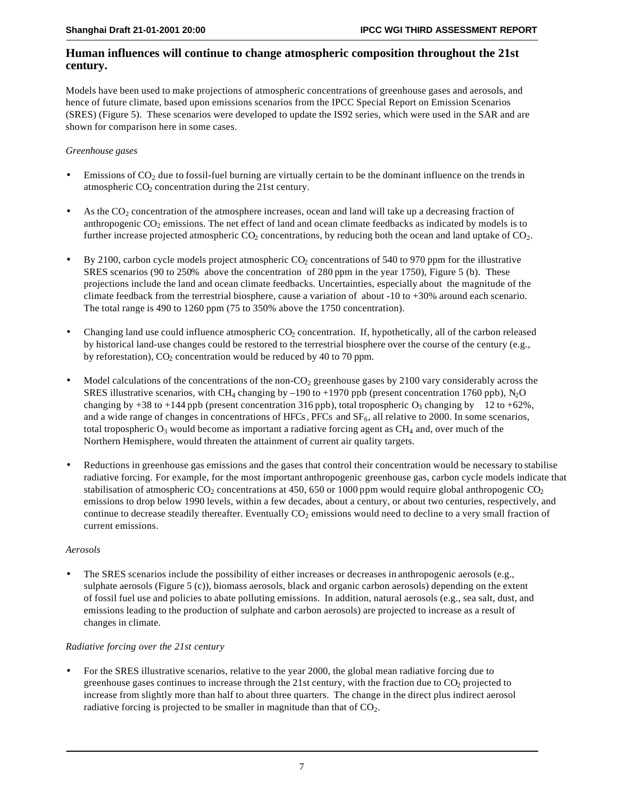# **Human influences will continue to change atmospheric composition throughout the 21st century.**

Models have been used to make projections of atmospheric concentrations of greenhouse gases and aerosols, and hence of future climate, based upon emissions scenarios from the IPCC Special Report on Emission Scenarios (SRES) (Figure 5). These scenarios were developed to update the IS92 series, which were used in the SAR and are shown for comparison here in some cases.

### *Greenhouse gases*

- Emissions of  $CO<sub>2</sub>$  due to fossil-fuel burning are virtually certain to be the dominant influence on the trends in atmospheric  $CO<sub>2</sub>$  concentration during the 21st century.
- As the  $CO<sub>2</sub>$  concentration of the atmosphere increases, ocean and land will take up a decreasing fraction of anthropogenic  $CO<sub>2</sub>$  emissions. The net effect of land and ocean climate feedbacks as indicated by models is to further increase projected atmospheric  $CO<sub>2</sub>$  concentrations, by reducing both the ocean and land uptake of  $CO<sub>2</sub>$ .
- By 2100, carbon cycle models project atmospheric  $CO<sub>2</sub>$  concentrations of 540 to 970 ppm for the illustrative SRES scenarios (90 to 250% above the concentration of 280 ppm in the year 1750), Figure 5 (b). These projections include the land and ocean climate feedbacks. Uncertainties, especially about the magnitude of the climate feedback from the terrestrial biosphere, cause a variation of about -10 to +30% around each scenario. The total range is 490 to 1260 ppm (75 to 350% above the 1750 concentration).
- Changing land use could influence atmospheric  $CO<sub>2</sub>$  concentration. If, hypothetically, all of the carbon released by historical land-use changes could be restored to the terrestrial biosphere over the course of the century (e.g., by reforestation),  $CO<sub>2</sub>$  concentration would be reduced by 40 to 70 ppm.
- Model calculations of the concentrations of the non- $CO<sub>2</sub>$  greenhouse gases by 2100 vary considerably across the SRES illustrative scenarios, with CH<sub>4</sub> changing by –190 to +1970 ppb (present concentration 1760 ppb), N<sub>2</sub>O changing by  $+38$  to  $+144$  ppb (present concentration 316 ppb), total tropospheric O<sub>3</sub> changing by 12 to  $+62\%$ , and a wide range of changes in concentrations of HFCs, PFCs and SF<sub>6</sub>, all relative to 2000. In some scenarios, total tropospheric  $O_3$  would become as important a radiative forcing agent as  $CH_4$  and, over much of the Northern Hemisphere, would threaten the attainment of current air quality targets.
- Reductions in greenhouse gas emissions and the gases that control their concentration would be necessary to stabilise radiative forcing. For example, for the most important anthropogenic greenhouse gas, carbon cycle models indicate that stabilisation of atmospheric  $CO_2$  concentrations at 450, 650 or 1000 ppm would require global anthropogenic  $CO_2$ emissions to drop below 1990 levels, within a few decades, about a century, or about two centuries, respectively, and continue to decrease steadily thereafter. Eventually  $CO<sub>2</sub>$  emissions would need to decline to a very small fraction of current emissions.

#### *Aerosols*

• The SRES scenarios include the possibility of either increases or decreases in anthropogenic aerosols (e.g., sulphate aerosols (Figure 5 (c)), biomass aerosols, black and organic carbon aerosols) depending on the extent of fossil fuel use and policies to abate polluting emissions. In addition, natural aerosols (e.g., sea salt, dust, and emissions leading to the production of sulphate and carbon aerosols) are projected to increase as a result of changes in climate.

# *Radiative forcing over the 21st century*

• For the SRES illustrative scenarios, relative to the year 2000, the global mean radiative forcing due to greenhouse gases continues to increase through the 21st century, with the fraction due to  $CO<sub>2</sub>$  projected to increase from slightly more than half to about three quarters. The change in the direct plus indirect aerosol radiative forcing is projected to be smaller in magnitude than that of  $CO<sub>2</sub>$ .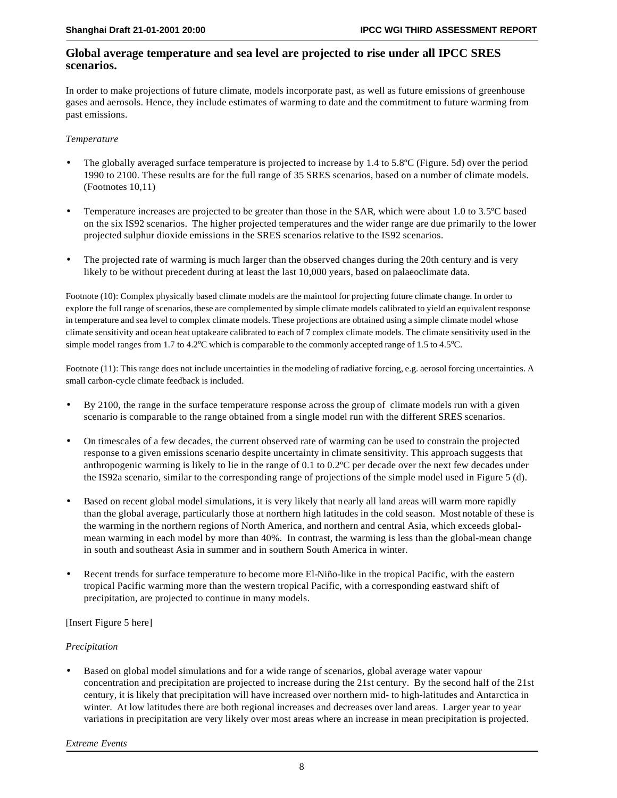# **Global average temperature and sea level are projected to rise under all IPCC SRES scenarios.**

In order to make projections of future climate, models incorporate past, as well as future emissions of greenhouse gases and aerosols. Hence, they include estimates of warming to date and the commitment to future warming from past emissions.

*Temperature*

- The globally averaged surface temperature is projected to increase by 1.4 to 5.8ºC (Figure. 5d) over the period 1990 to 2100. These results are for the full range of 35 SRES scenarios, based on a number of climate models. (Footnotes 10,11)
- Temperature increases are projected to be greater than those in the SAR, which were about 1.0 to 3.5ºC based on the six IS92 scenarios. The higher projected temperatures and the wider range are due primarily to the lower projected sulphur dioxide emissions in the SRES scenarios relative to the IS92 scenarios.
- The projected rate of warming is much larger than the observed changes during the 20th century and is very likely to be without precedent during at least the last 10,000 years, based on palaeoclimate data.

Footnote (10): Complex physically based climate models are the main tool for projecting future climate change. In order to explore the full range of scenarios, these are complemented by simple climate models calibrated to yield an equivalent response in temperature and sea level to complex climate models. These projections are obtained using a simple climate model whose climate sensitivity and ocean heat uptake are calibrated to each of 7 complex climate models. The climate sensitivity used in the simple model ranges from 1.7 to 4.2ºC which is comparable to the commonly accepted range of 1.5 to 4.5ºC.

Footnote (11): This range does not include uncertainties in the modeling of radiative forcing, e.g. aerosol forcing uncertainties. A small carbon-cycle climate feedback is included.

- By 2100, the range in the surface temperature response across the group of climate models run with a given scenario is comparable to the range obtained from a single model run with the different SRES scenarios.
- On timescales of a few decades, the current observed rate of warming can be used to constrain the projected response to a given emissions scenario despite uncertainty in climate sensitivity. This approach suggests that anthropogenic warming is likely to lie in the range of 0.1 to 0.2ºC per decade over the next few decades under the IS92a scenario, similar to the corresponding range of projections of the simple model used in Figure 5 (d).
- Based on recent global model simulations, it is very likely that nearly all land areas will warm more rapidly than the global average, particularly those at northern high latitudes in the cold season. Most notable of these is the warming in the northern regions of North America, and northern and central Asia, which exceeds globalmean warming in each model by more than 40%. In contrast, the warming is less than the global-mean change in south and southeast Asia in summer and in southern South America in winter.
- Recent trends for surface temperature to become more El-Niño-like in the tropical Pacific, with the eastern tropical Pacific warming more than the western tropical Pacific, with a corresponding eastward shift of precipitation, are projected to continue in many models.

[Insert Figure 5 here]

# *Precipitation*

• Based on global model simulations and for a wide range of scenarios, global average water vapour concentration and precipitation are projected to increase during the 21st century. By the second half of the 21st century, it is likely that precipitation will have increased over northern mid- to high-latitudes and Antarctica in winter. At low latitudes there are both regional increases and decreases over land areas. Larger year to year variations in precipitation are very likely over most areas where an increase in mean precipitation is projected.

*Extreme Events*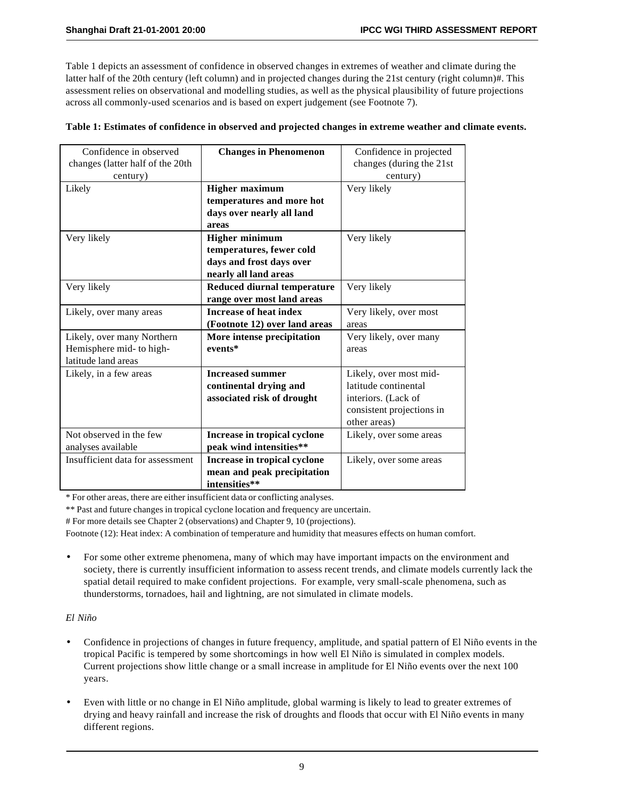Table 1 depicts an assessment of confidence in observed changes in extremes of weather and climate during the latter half of the 20th century (left column) and in projected changes during the 21st century (right column)#. This assessment relies on observational and modelling studies, as well as the physical plausibility of future projections across all commonly-used scenarios and is based on expert judgement (see Footnote 7).

| Confidence in observed           | <b>Changes in Phenomenon</b>  | Confidence in projected   |
|----------------------------------|-------------------------------|---------------------------|
| changes (latter half of the 20th |                               | changes (during the 21st  |
| century)                         |                               | century)                  |
| Likely                           | <b>Higher maximum</b>         | Very likely               |
|                                  | temperatures and more hot     |                           |
|                                  | days over nearly all land     |                           |
|                                  | areas                         |                           |
| Very likely                      | <b>Higher minimum</b>         | Very likely               |
|                                  | temperatures, fewer cold      |                           |
|                                  | days and frost days over      |                           |
|                                  | nearly all land areas         |                           |
| Very likely                      | Reduced diurnal temperature   | Very likely               |
|                                  | range over most land areas    |                           |
| Likely, over many areas          | <b>Increase of heat index</b> | Very likely, over most    |
|                                  | (Footnote 12) over land areas | areas                     |
| Likely, over many Northern       | More intense precipitation    | Very likely, over many    |
| Hemisphere mid- to high-         | events*                       | areas                     |
| latitude land areas              |                               |                           |
| Likely, in a few areas           | <b>Increased summer</b>       | Likely, over most mid-    |
|                                  | continental drying and        | latitude continental      |
|                                  | associated risk of drought    | interiors. (Lack of       |
|                                  |                               | consistent projections in |
|                                  |                               | other areas)              |
| Not observed in the few          | Increase in tropical cyclone  | Likely, over some areas   |
| analyses available               | peak wind intensities**       |                           |
| Insufficient data for assessment | Increase in tropical cyclone  | Likely, over some areas   |
|                                  | mean and peak precipitation   |                           |
|                                  | intensities**                 |                           |

### **Table 1: Estimates of confidence in observed and projected changes in extreme weather and climate events.**

\* For other areas, there are either insufficient data or conflicting analyses.

\*\* Past and future changes in tropical cyclone location and frequency are uncertain.

# For more details see Chapter 2 (observations) and Chapter 9, 10 (projections).

Footnote (12): Heat index: A combination of temperature and humidity that measures effects on human comfort.

• For some other extreme phenomena, many of which may have important impacts on the environment and society, there is currently insufficient information to assess recent trends, and climate models currently lack the spatial detail required to make confident projections. For example, very small-scale phenomena, such as thunderstorms, tornadoes, hail and lightning, are not simulated in climate models.

# *El Niño*

- Confidence in projections of changes in future frequency, amplitude, and spatial pattern of El Niño events in the tropical Pacific is tempered by some shortcomings in how well El Niño is simulated in complex models. Current projections show little change or a small increase in amplitude for El Niño events over the next 100 years.
- Even with little or no change in El Niño amplitude, global warming is likely to lead to greater extremes of drying and heavy rainfall and increase the risk of droughts and floods that occur with El Niño events in many different regions.